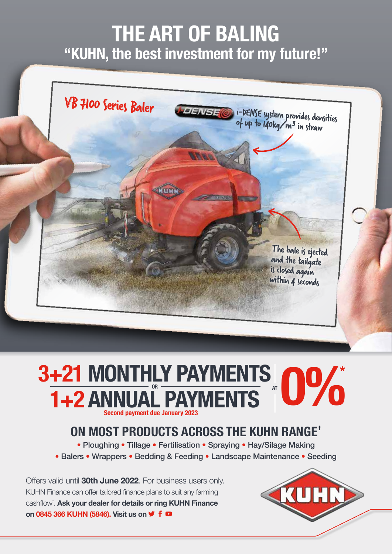## **THE ART OF BALING "KUHN, the best investment for my future!"**



## **1+2 ANNUAL PAYMENTS**<br> **1+2 ANNUAL PAYMENTS Second payment due January 2023**

## **ON MOST PRODUCTS ACROSS THE KUHN RANGE<sup>+</sup>**

• Ploughing • Tillage • Fertilisation • Spraying • Hay/Silage Making

• Balers • Wrappers • Bedding & Feeding • Landscape Maintenance • Seeding

Offers valid until **30th June 2022**. For business users only. KUHN Finance can offer tailored finance plans to suit any farming cashflow<sup>\*</sup>. Ask your dealer for details or ring KUHN Finance **on 0845 366 KUHN (5846). Visit us on f □**